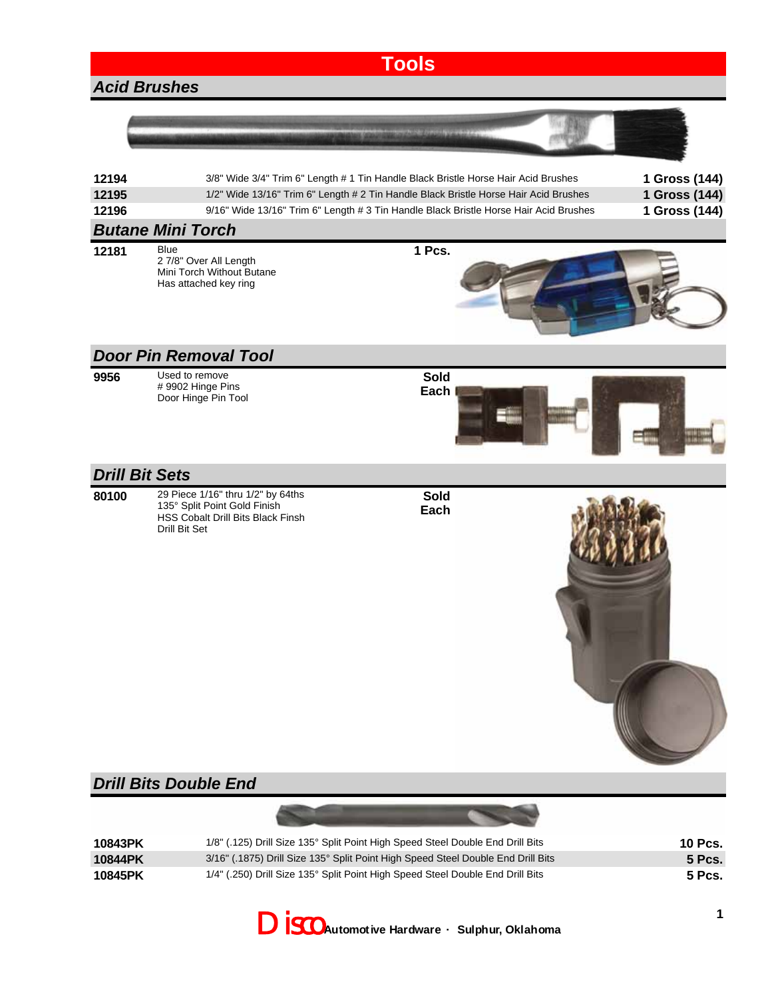|                               |                                                                                                                                                                                                                                                                     | <b>Tools</b> |  |                                                 |  |
|-------------------------------|---------------------------------------------------------------------------------------------------------------------------------------------------------------------------------------------------------------------------------------------------------------------|--------------|--|-------------------------------------------------|--|
| <b>Acid Brushes</b>           |                                                                                                                                                                                                                                                                     |              |  |                                                 |  |
|                               |                                                                                                                                                                                                                                                                     |              |  |                                                 |  |
| 12194<br>12195<br>12196       | 3/8" Wide 3/4" Trim 6" Length # 1 Tin Handle Black Bristle Horse Hair Acid Brushes<br>1/2" Wide 13/16" Trim 6" Length # 2 Tin Handle Black Bristle Horse Hair Acid Brushes<br>9/16" Wide 13/16" Trim 6" Length # 3 Tin Handle Black Bristle Horse Hair Acid Brushes |              |  | 1 Gross (144)<br>1 Gross (144)<br>1 Gross (144) |  |
|                               | <b>Butane Mini Torch</b>                                                                                                                                                                                                                                            |              |  |                                                 |  |
| 12181                         | Blue<br>2 7/8" Over All Length<br>Mini Torch Without Butane<br>Has attached key ring                                                                                                                                                                                | 1 Pcs.       |  |                                                 |  |
|                               | <b>Door Pin Removal Tool</b>                                                                                                                                                                                                                                        |              |  |                                                 |  |
| 9956                          | Used to remove<br># 9902 Hinge Pins<br>Door Hinge Pin Tool                                                                                                                                                                                                          | Sold<br>Each |  |                                                 |  |
| <b>Drill Bit Sets</b>         |                                                                                                                                                                                                                                                                     |              |  |                                                 |  |
| 80100                         | 29 Piece 1/16" thru 1/2" by 64ths<br>135° Split Point Gold Finish<br>HSS Cobalt Drill Bits Black Finsh<br>Drill Bit Set                                                                                                                                             | Sold<br>Each |  |                                                 |  |
| <b>Drill Bits Double End</b>  |                                                                                                                                                                                                                                                                     |              |  |                                                 |  |
|                               |                                                                                                                                                                                                                                                                     |              |  |                                                 |  |
| 10843PK<br>10844PK<br>10845PK | 1/8" (.125) Drill Size 135° Split Point High Speed Steel Double End Drill Bits<br>3/16" (.1875) Drill Size 135° Split Point High Speed Steel Double End Drill Bits<br>1/4" (.250) Drill Size 135° Split Point High Speed Steel Double End Drill Bits                |              |  | <b>10 Pcs.</b><br><b>5 Pcs.</b><br>5 Pcs.       |  |

Disco **Automotive Hardware · Sulphur, Oklahoma**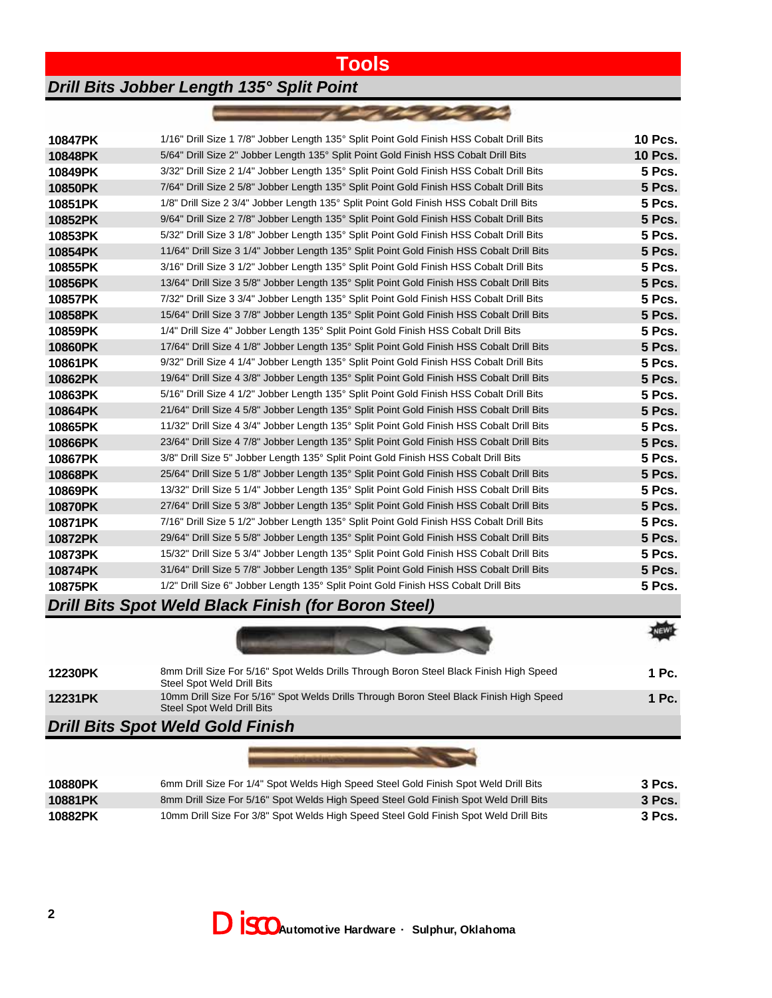## **Tools**

**MANUSCHE** 

## *Drill Bits Jobber Length 135° Split Point*

| 10847PK | 1/16" Drill Size 1 7/8" Jobber Length 135° Split Point Gold Finish HSS Cobalt Drill Bits  | <b>10 Pcs.</b> |
|---------|-------------------------------------------------------------------------------------------|----------------|
| 10848PK | 5/64" Drill Size 2" Jobber Length 135° Split Point Gold Finish HSS Cobalt Drill Bits      | <b>10 Pcs.</b> |
| 10849PK | 3/32" Drill Size 2 1/4" Jobber Length 135° Split Point Gold Finish HSS Cobalt Drill Bits  | <b>5 Pcs.</b>  |
| 10850PK | 7/64" Drill Size 2 5/8" Jobber Length 135° Split Point Gold Finish HSS Cobalt Drill Bits  | <b>5 Pcs.</b>  |
| 10851PK | 1/8" Drill Size 2 3/4" Jobber Length 135° Split Point Gold Finish HSS Cobalt Drill Bits   | <b>5 Pcs.</b>  |
| 10852PK | 9/64" Drill Size 2 7/8" Jobber Length 135° Split Point Gold Finish HSS Cobalt Drill Bits  | <b>5 Pcs.</b>  |
| 10853PK | 5/32" Drill Size 3 1/8" Jobber Length 135° Split Point Gold Finish HSS Cobalt Drill Bits  | <b>5 Pcs.</b>  |
| 10854PK | 11/64" Drill Size 3 1/4" Jobber Length 135° Split Point Gold Finish HSS Cobalt Drill Bits | <b>5 Pcs.</b>  |
| 10855PK | 3/16" Drill Size 3 1/2" Jobber Length 135° Split Point Gold Finish HSS Cobalt Drill Bits  | <b>5 Pcs.</b>  |
| 10856PK | 13/64" Drill Size 3 5/8" Jobber Length 135° Split Point Gold Finish HSS Cobalt Drill Bits | <b>5 Pcs.</b>  |
| 10857PK | 7/32" Drill Size 3 3/4" Jobber Length 135° Split Point Gold Finish HSS Cobalt Drill Bits  | <b>5 Pcs.</b>  |
| 10858PK | 15/64" Drill Size 3 7/8" Jobber Length 135° Split Point Gold Finish HSS Cobalt Drill Bits | <b>5 Pcs.</b>  |
| 10859PK | 1/4" Drill Size 4" Jobber Length 135° Split Point Gold Finish HSS Cobalt Drill Bits       | <b>5 Pcs.</b>  |
| 10860PK | 17/64" Drill Size 4 1/8" Jobber Length 135° Split Point Gold Finish HSS Cobalt Drill Bits | <b>5 Pcs.</b>  |
| 10861PK | 9/32" Drill Size 4 1/4" Jobber Length 135° Split Point Gold Finish HSS Cobalt Drill Bits  | <b>5 Pcs.</b>  |
| 10862PK | 19/64" Drill Size 4 3/8" Jobber Length 135° Split Point Gold Finish HSS Cobalt Drill Bits | <b>5 Pcs.</b>  |
| 10863PK | 5/16" Drill Size 4 1/2" Jobber Length 135° Split Point Gold Finish HSS Cobalt Drill Bits  | <b>5 Pcs.</b>  |
| 10864PK | 21/64" Drill Size 4 5/8" Jobber Length 135° Split Point Gold Finish HSS Cobalt Drill Bits | <b>5 Pcs.</b>  |
| 10865PK | 11/32" Drill Size 4 3/4" Jobber Length 135° Split Point Gold Finish HSS Cobalt Drill Bits | <b>5 Pcs.</b>  |
| 10866PK | 23/64" Drill Size 4 7/8" Jobber Length 135° Split Point Gold Finish HSS Cobalt Drill Bits | <b>5 Pcs.</b>  |
| 10867PK | 3/8" Drill Size 5" Jobber Length 135° Split Point Gold Finish HSS Cobalt Drill Bits       | <b>5 Pcs.</b>  |
| 10868PK | 25/64" Drill Size 5 1/8" Jobber Length 135° Split Point Gold Finish HSS Cobalt Drill Bits | <b>5 Pcs.</b>  |
| 10869PK | 13/32" Drill Size 5 1/4" Jobber Length 135° Split Point Gold Finish HSS Cobalt Drill Bits | <b>5 Pcs.</b>  |
| 10870PK | 27/64" Drill Size 5 3/8" Jobber Length 135° Split Point Gold Finish HSS Cobalt Drill Bits | <b>5 Pcs.</b>  |
| 10871PK | 7/16" Drill Size 5 1/2" Jobber Length 135° Split Point Gold Finish HSS Cobalt Drill Bits  | <b>5 Pcs.</b>  |
| 10872PK | 29/64" Drill Size 5 5/8" Jobber Length 135° Split Point Gold Finish HSS Cobalt Drill Bits | <b>5 Pcs.</b>  |
| 10873PK | 15/32" Drill Size 5 3/4" Jobber Length 135° Split Point Gold Finish HSS Cobalt Drill Bits | <b>5 Pcs.</b>  |
| 10874PK | 31/64" Drill Size 5 7/8" Jobber Length 135° Split Point Gold Finish HSS Cobalt Drill Bits | <b>5 Pcs.</b>  |
| 10875PK | 1/2" Drill Size 6" Jobber Length 135° Split Point Gold Finish HSS Cobalt Drill Bits       | <b>5 Pcs.</b>  |
|         |                                                                                           |                |

## *Drill Bits Spot Weld Black Finish (for Boron Steel)*

| 12230PK                                 | 8mm Drill Size For 5/16" Spot Welds Drills Through Boron Steel Black Finish High Speed<br>Steel Spot Weld Drill Bits  | 1 Pc. |
|-----------------------------------------|-----------------------------------------------------------------------------------------------------------------------|-------|
| 12231PK                                 | 10mm Drill Size For 5/16" Spot Welds Drills Through Boron Steel Black Finish High Speed<br>Steel Spot Weld Drill Bits | 1 Pc. |
| <b>Drill Rite Spot Wald Cold Finich</b> |                                                                                                                       |       |

## *Drill Bits Spot Weld Gold Finish*

| 10880PK | 6mm Drill Size For 1/4" Spot Welds High Speed Steel Gold Finish Spot Weld Drill Bits  | 3 Pcs.   |
|---------|---------------------------------------------------------------------------------------|----------|
| 10881PK | 8mm Drill Size For 5/16" Spot Welds High Speed Steel Gold Finish Spot Weld Drill Bits | $3$ Pcs. |
| 10882PK | 10mm Drill Size For 3/8" Spot Welds High Speed Steel Gold Finish Spot Weld Drill Bits | 3 Pcs.   |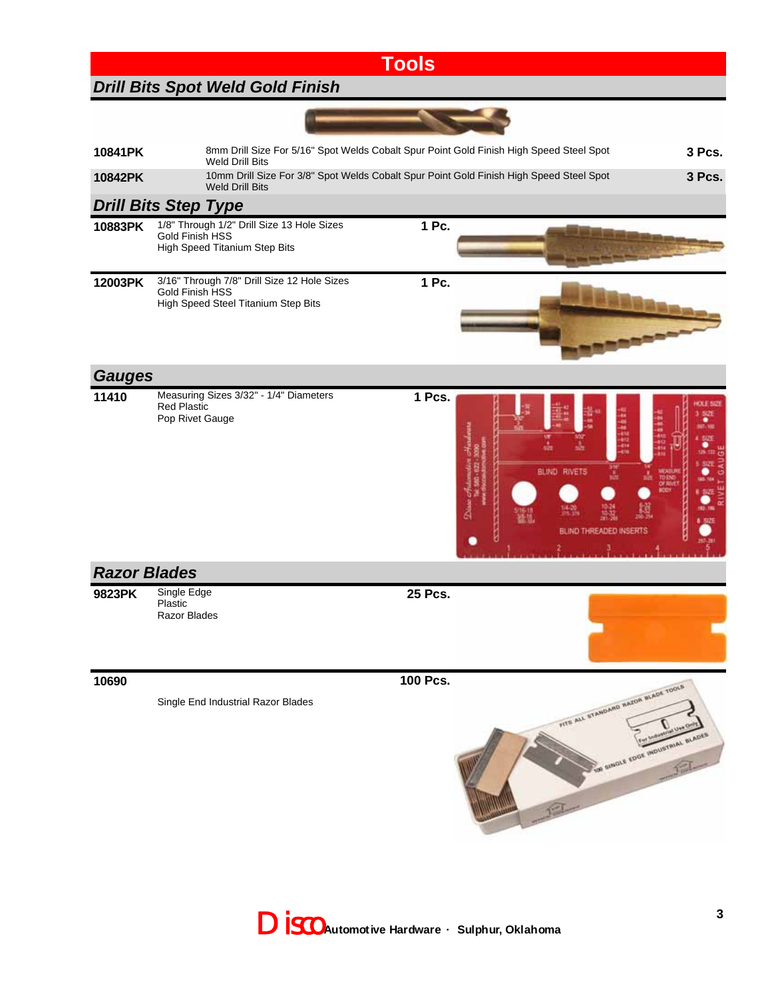| <b>Tools</b>                            |                                                                                                                   |          |                                                                         |  |  |
|-----------------------------------------|-------------------------------------------------------------------------------------------------------------------|----------|-------------------------------------------------------------------------|--|--|
| <b>Drill Bits Spot Weld Gold Finish</b> |                                                                                                                   |          |                                                                         |  |  |
|                                         |                                                                                                                   |          |                                                                         |  |  |
| 10841PK                                 | 8mm Drill Size For 5/16" Spot Welds Cobalt Spur Point Gold Finish High Speed Steel Spot<br><b>Weld Drill Bits</b> |          | 3 Pcs.                                                                  |  |  |
| 10842PK                                 | 10mm Drill Size For 3/8" Spot Welds Cobalt Spur Point Gold Finish High Speed Steel Spot<br><b>Weld Drill Bits</b> |          | 3 Pcs.                                                                  |  |  |
|                                         | <b>Drill Bits Step Type</b>                                                                                       |          |                                                                         |  |  |
| 10883PK                                 | 1/8" Through 1/2" Drill Size 13 Hole Sizes<br>Gold Finish HSS<br>High Speed Titanium Step Bits                    | 1 Pc.    |                                                                         |  |  |
| 12003PK                                 | 3/16" Through 7/8" Drill Size 12 Hole Sizes<br>Gold Finish HSS<br>High Speed Steel Titanium Step Bits             | 1 Pc.    |                                                                         |  |  |
| <b>Gauges</b>                           |                                                                                                                   |          |                                                                         |  |  |
| 11410                                   | Measuring Sizes 3/32" - 1/4" Diameters<br><b>Red Plastic</b><br>Pop Rivet Gauge                                   | 1 Pcs.   | <b>OLE SIZ</b><br><b>BLIND RIVETS</b><br>BLIND THREADED INSERTS         |  |  |
| <b>Razor Blades</b>                     |                                                                                                                   |          |                                                                         |  |  |
| 9823PK                                  | Single Edge<br>Plastic<br>Razor Blades                                                                            | 25 Pcs.  |                                                                         |  |  |
| 10690                                   |                                                                                                                   | 100 Pcs. |                                                                         |  |  |
|                                         | Single End Industrial Razor Blades                                                                                |          | FITS ALL STANDARD RAZOR RIADE TOOLS<br>TO SINGLE FOOR INDUSTRIAL RADDES |  |  |

Disco **Automotive Hardware · Sulphur, Oklahoma**